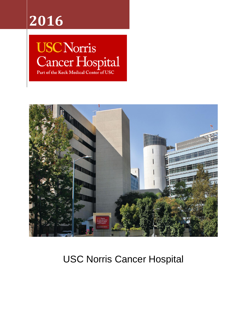## **2016**

# **USC Norris** Cancer Hospital



## USC Norris Cancer Hospital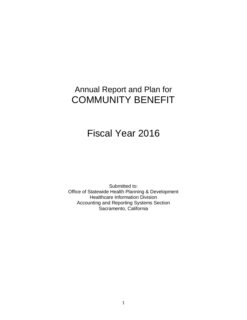### Annual Report and Plan for COMMUNITY BENEFIT

## Fiscal Year 2016

Submitted to: Office of Statewide Health Planning & Development Healthcare Information Division Accounting and Reporting Systems Section Sacramento, California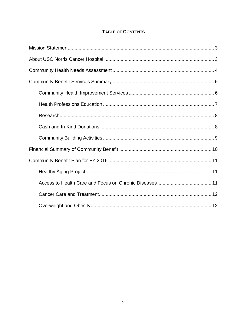#### **TABLE OF CONTENTS**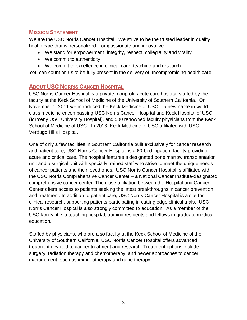#### <span id="page-3-0"></span>**MISSION STATEMENT**

We are the USC Norris Cancer Hospital. We strive to be the trusted leader in quality health care that is personalized, compassionate and innovative.

- We stand for empowerment, integrity, respect, collegiality and vitality
- We commit to authenticity
- We commit to excellence in clinical care, teaching and research

You can count on us to be fully present in the delivery of uncompromising health care.

#### <span id="page-3-1"></span>**ABOUT USC NORRIS CANCER HOSPITAL**

USC Norris Cancer Hospital is a private, nonprofit acute care hospital staffed by the faculty at the Keck School of Medicine of the University of Southern California. On November 1, 2011 we introduced the Keck Medicine of USC – a new name in worldclass medicine encompassing USC Norris Cancer Hospital and Keck Hospital of USC (formerly USC University Hospital), and 500 renowned faculty physicians from the Keck School of Medicine of USC. In 2013, Keck Medicine of USC affiliated with USC Verdugo Hills Hospital.

One of only a few facilities in Southern California built exclusively for cancer research and patient care, USC Norris Cancer Hospital is a 60-bed inpatient facility providing acute and critical care. The hospital features a designated bone marrow transplantation unit and a surgical unit with specially trained staff who strive to meet the unique needs of cancer patients and their loved ones. USC Norris Cancer Hospital is affiliated with the USC Norris Comprehensive Cancer Center – a National Cancer Institute-designated comprehensive cancer center. The close affiliation between the Hospital and Cancer Center offers access to patients seeking the latest breakthroughs in cancer prevention and treatment. In addition to patient care, USC Norris Cancer Hospital is a site for clinical research, supporting patients participating in cutting edge clinical trials. USC Norris Cancer Hospital is also strongly committed to education. As a member of the USC family, it is a teaching hospital, training residents and fellows in graduate medical education.

Staffed by physicians, who are also faculty at the Keck School of Medicine of the University of Southern California, USC Norris Cancer Hospital offers advanced treatment devoted to cancer treatment and research. Treatment options include surgery, radiation therapy and chemotherapy, and newer approaches to cancer management, such as immunotherapy and gene therapy.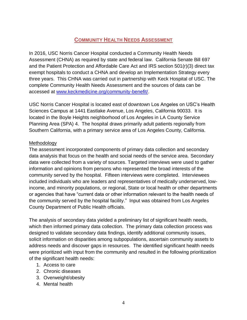#### **COMMUNITY HEALTH NEEDS ASSESSMENT**

<span id="page-4-0"></span>In 2016, USC Norris Cancer Hospital conducted a Community Health Needs Assessment (CHNA) as required by state and federal law. California Senate Bill 697 and the Patient Protection and Affordable Care Act and IRS section 501(r)(3) direct tax exempt hospitals to conduct a CHNA and develop an Implementation Strategy every three years. This CHNA was carried out in partnership with Keck Hospital of USC. The complete Community Health Needs Assessment and the sources of data can be accessed at [www.keckmedicine.org/community-benefit/.](http://www.keckmedicine.org/community-benefit/)

USC Norris Cancer Hospital is located east of downtown Los Angeles on USC's Health Sciences Campus at 1441 Eastlake Avenue, Los Angeles, California 90033. It is located in the Boyle Heights neighborhood of Los Angeles in LA County Service Planning Area (SPA) 4. The hospital draws primarily adult patients regionally from Southern California, with a primary service area of Los Angeles County, California.

#### Methodology

The assessment incorporated components of primary data collection and secondary data analysis that focus on the health and social needs of the service area. Secondary data were collected from a variety of sources. Targeted interviews were used to gather information and opinions from persons who represented the broad interests of the community served by the hospital. Fifteen interviews were completed. Interviewees included individuals who are leaders and representatives of medically underserved, lowincome, and minority populations, or regional, State or local health or other departments or agencies that have "current data or other information relevant to the health needs of the community served by the hospital facility." Input was obtained from Los Angeles County Department of Public Health officials.

The analysis of secondary data yielded a preliminary list of significant health needs, which then informed primary data collection. The primary data collection process was designed to validate secondary data findings, identify additional community issues, solicit information on disparities among subpopulations, ascertain community assets to address needs and discover gaps in resources. The identified significant health needs were prioritized with input from the community and resulted in the following prioritization of the significant health needs:

- 1. Access to care
- 2. Chronic diseases
- 3. Overweight/obesity
- 4. Mental health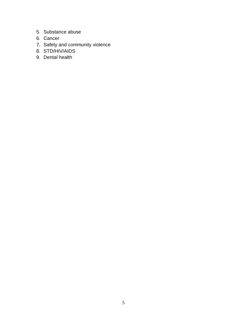- 5. Substance abuse
- 6. Cancer
- 7. Safety and community violence
- 8. STD/HIV/AIDS
- 9. Dental health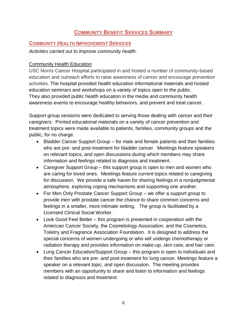#### **COMMUNITY BENEFIT SERVICES SUMMARY**

#### <span id="page-6-1"></span><span id="page-6-0"></span>**COMMUNITY HEALTH IMPROVEMENT SERVICES**

*Activities carried out to improve community health.*

#### Community Health Education

USC Norris Cancer Hospital participated in and hosted a number of community-based education and outreach efforts to raise awareness of cancer and encourage prevention activities. The hospital provided health education informational materials and hosted education seminars and workshops on a variety of topics open to the public. They also provided public health education in the media and community health awareness events to encourage healthy behaviors, and prevent and treat cancer.

Support group sessions were dedicated to serving those dealing with cancer and their caregivers. Printed educational materials on a variety of cancer prevention and treatment topics were made available to patients, families, community groups and the public, for no charge.

- Bladder Cancer Support Group for male and female patients and their families who are pre- and post-treatment for bladder cancer. Meetings feature speakers on relevant topics, and open discussions during which members may share information and feelings related to diagnosis and treatment.
- Caregiver Support Group this support group is open to men and women who are caring for loved ones. Meetings feature current topics related to caregiving for discussion. We provide a safe haven for sharing feelings in a nonjudgmental atmosphere, exploring coping mechanisms and supporting one another.
- For Men Only Prostate Cancer Support Group we offer a support group to provide men with prostate cancer the chance to share common concerns and feelings in a smaller, more intimate setting. The group is facilitated by a Licensed Clinical Social Worker.
- Look Good Feel Better this program is presented in cooperation with the American Cancer Society, the Cosmetology Association, and the Cosmetics, Toiletry and Fragrance Association Foundation. It is designed to address the special concerns of women undergoing or who will undergo chemotherapy or radiation therapy and provides information on make-up, skin care, and hair care.
- Lung Cancer Education/Support Group this program is open to individuals and their families who are pre- and post-treatment for lung cancer. Meetings feature a speaker on a relevant topic, and open discussion. The meeting provides members with an opportunity to share and listen to information and feelings related to diagnosis and treatment.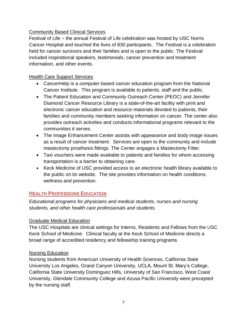#### Community Based Clinical Services

Festival of Life – the annual Festival of Life celebration was hosted by USC Norris Cancer Hospital and touched the lives of 830 participants. The Festival is a celebration held for cancer survivors and their families and is open to the public. The Festival included inspirational speakers, testimonials, cancer prevention and treatment information, and other events.

#### Health Care Support Services

- CancerHelp is a computer-based cancer education program from the National Cancer Institute. This program is available to patients, staff and the public.
- The Patient Education and Community Outreach Center (PEOC) and Jennifer Diamond Cancer Resource Library is a state-of-the-art facility with print and electronic cancer education and resource materials devoted to patients, their families and community members seeking information on cancer. The center also provides outreach activities and conducts informational programs relevant to the communities it serves.
- The Image Enhancement Center assists with appearance and body image issues as a result of cancer treatment. Services are open to the community and include mastectomy prosthesis fittings. The Center engages a Mastectomy Fitter.
- Taxi vouchers were made available to patients and families for whom accessing transportation is a barrier to obtaining care.
- Keck Medicine of USC provided access to an electronic health library available to the public on its website. The site provides information on health conditions, wellness and prevention.

#### <span id="page-7-0"></span>**HEALTH PROFESSIONS EDUCATION**

*Educational programs for physicians and medical students, nurses and nursing students, and other health care professionals and students.*

#### Graduate Medical Education

The USC Hospitals are clinical settings for Interns, Residents and Fellows from the USC Keck School of Medicine. Clinical faculty at the Keck School of Medicine directs a broad range of accredited residency and fellowship training programs.

#### Nursing Education

Nursing students from American University of Health Sciences, California State University Los Angeles, Grand Canyon University, UCLA, Mount St. Mary's College, California State University Dominguez Hills, University of San Francisco, West Coast University, Glendale Community College and Azusa Pacific University were precepted by the nursing staff.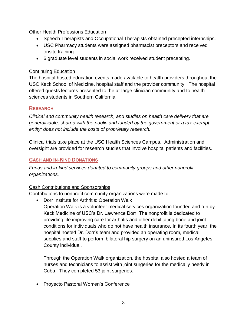#### Other Health Professions Education

- Speech Therapists and Occupational Therapists obtained precepted internships.
- USC Pharmacy students were assigned pharmacist preceptors and received onsite training.
- 6 graduate level students in social work received student precepting.

#### Continuing Education

The hospital hosted education events made available to health providers throughout the USC Keck School of Medicine, hospital staff and the provider community. The hospital offered guests lectures presented to the at-large clinician community and to health sciences students in Southern California.

#### <span id="page-8-0"></span>**RESEARCH**

*Clinical and community health research, and studies on health care delivery that are generalizable, shared with the public and funded by the government or a tax-exempt entity; does not include the costs of proprietary research.*

Clinical trials take place at the USC Health Sciences Campus. Administration and oversight are provided for research studies that involve hospital patients and facilities.

#### <span id="page-8-1"></span>**CASH AND IN-KIND DONATIONS**

*Funds and in-kind services donated to community groups and other nonprofit organizations.*

#### Cash Contributions and Sponsorships

Contributions to nonprofit community organizations were made to:

- Dorr Institute for Arthritis: Operation Walk
	- Operation Walk is a volunteer medical services organization founded and run by Keck Medicine of USC's Dr. Lawrence Dorr. The nonprofit is dedicated to providing life improving care for arthritis and other debilitating bone and joint conditions for individuals who do not have health insurance. In its fourth year, the hospital hosted Dr. Dorr's team and provided an operating room, medical supplies and staff to perform bilateral hip surgery on an uninsured Los Angeles County individual.

Through the Operation Walk organization, the hospital also hosted a team of nurses and technicians to assist with joint surgeries for the medically needy in Cuba. They completed 53 joint surgeries.

• Proyecto Pastoral Women's Conference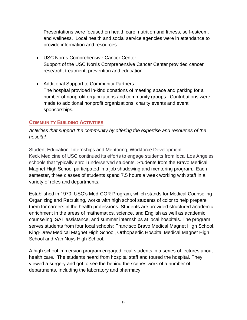Presentations were focused on health care, nutrition and fitness, self-esteem, and wellness. Local health and social service agencies were in attendance to provide information and resources.

- USC Norris Comprehensive Cancer Center Support of the USC Norris Comprehensive Cancer Center provided cancer research, treatment, prevention and education.
- Additional Support to Community Partners The hospital provided in-kind donations of meeting space and parking for a number of nonprofit organizations and community groups. Contributions were made to additional nonprofit organizations, charity events and event sponsorships.

#### <span id="page-9-0"></span>**COMMUNITY BUILDING ACTIVITIES**

*Activities that support the community by offering the expertise and resources of the hospital.*

Student Education: Internships and Mentoring, Workforce Development Keck Medicine of USC continued its efforts to engage students from local Los Angeles schools that typically enroll underserved students. Students from the Bravo Medical Magnet High School participated in a job shadowing and mentoring program. Each semester, three classes of students spend 7.5 hours a week working with staff in a variety of roles and departments.

Established in 1970, USC's Med-COR Program, which stands for Medical Counseling Organizing and Recruiting, works with high school students of color to help prepare them for careers in the health professions. Students are provided structured academic enrichment in the areas of mathematics, science, and English as well as academic counseling, SAT assistance, and summer internships at local hospitals. The program serves students from four local schools: Francisco Bravo Medical Magnet High School, King-Drew Medical Magnet High School, Orthopaedic Hospital Medical Magnet High School and Van Nuys High School.

A high school immersion program engaged local students in a series of lectures about health care. The students heard from hospital staff and toured the hospital. They viewed a surgery and got to see the behind the scenes work of a number of departments, including the laboratory and pharmacy.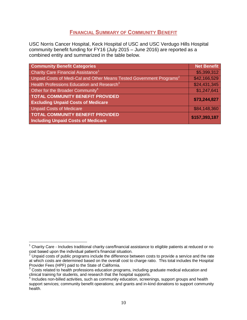#### **FINANCIAL SUMMARY OF COMMUNITY BENEFIT**

<span id="page-10-0"></span>USC Norris Cancer Hospital, Keck Hospital of USC and USC Verdugo Hills Hospital community benefit funding for FY16 (July 2015 – June 2016) are reported as a combined entity and summarized in the table below.

| <b>Community Benefit Categories</b>                                              | <b>Net Benefit</b> |
|----------------------------------------------------------------------------------|--------------------|
| Charity Care Financial Assistance <sup>1</sup>                                   | \$5,399,312        |
| Unpaid Costs of Medi-Cal and Other Means Tested Government Programs <sup>2</sup> | \$42,166,529       |
| Health Professions Education and Research <sup>3</sup>                           | \$24,431,345       |
| Other for the Broader Community <sup>4</sup>                                     | \$1,247,641        |
| <b>TOTAL COMMUNITY BENEFIT PROVIDED</b>                                          | \$73,244,827       |
| <b>Excluding Unpaid Costs of Medicare</b>                                        |                    |
| <b>Unpaid Costs of Medicare</b>                                                  | \$84,148,360       |
| <b>TOTAL COMMUNITY BENEFIT PROVIDED</b>                                          | \$157,393,187      |
| <b>Including Unpaid Costs of Medicare</b>                                        |                    |

 $\overline{a}$ 

<sup>1</sup> Charity Care - Includes traditional charity care/financial assistance to eligible patients at reduced or no cost based upon the individual patient's financial situation.

<sup>&</sup>lt;sup>2</sup> Unpaid costs of public programs include the difference between costs to provide a service and the rate at which costs are determined based on the overall cost to charge ratio. This total includes the Hospital Provider Fees (HPF) paid to the State of California.

<sup>&</sup>lt;sup>3</sup> Costs related to health professions education programs, including graduate medical education and

clinical training for students, and research that the hospital supports.<br><sup>4</sup> Includes non-billed activities, such as community education, screenings, support groups and health support services; community benefit operations; and grants and in-kind donations to support community health.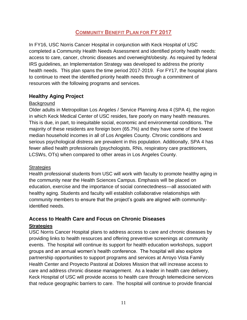#### **COMMUNITY BENEFIT PLAN FOR FY 2017**

<span id="page-11-0"></span>In FY16, USC Norris Cancer Hospital in conjunction with Keck Hospital of USC completed a Community Health Needs Assessment and identified priority health needs: access to care, cancer, chronic diseases and overweight/obesity. As required by federal IRS guidelines, an Implementation Strategy was developed to address the priority health needs. This plan spans the time period 2017-2019. For FY17, the hospital plans to continue to meet the identified priority health needs through a commitment of resources with the following programs and services.

#### <span id="page-11-1"></span>**Healthy Aging Project**

#### **Background**

Older adults in Metropolitan Los Angeles / Service Planning Area 4 (SPA 4), the region in which Keck Medical Center of USC resides, fare poorly on many health measures. This is due, in part, to inequitable social, economic and environmental conditions. The majority of these residents are foreign born (65.7%) and they have some of the lowest median household incomes in all of Los Angeles County. Chronic conditions and serious psychological distress are prevalent in this population. Additionally, SPA 4 has fewer allied health professionals (psychologists, RNs, respiratory care practitioners, LCSWs, OTs) when compared to other areas in Los Angeles County.

#### **Strategies**

Health professional students from USC will work with faculty to promote healthy aging in the community near the Health Sciences Campus. Emphasis will be placed on education, exercise and the importance of social connectedness—all associated with healthy aging. Students and faculty will establish collaborative relationships with community members to ensure that the project's goals are aligned with communityidentified needs.

#### <span id="page-11-2"></span>**Access to Health Care and Focus on Chronic Diseases**

#### **Strategies**

USC Norris Cancer Hospital plans to address access to care and chronic diseases by providing links to health resources and offering preventive screenings at community events. The hospital will continue its support for health education workshops, support groups and an annual women's health conference. The hospital will also explore partnership opportunities to support programs and services at Arroyo Vista Family Health Center and Proyecto Pastoral at Dolores Mission that will increase access to care and address chronic disease management. As a leader in health care delivery, Keck Hospital of USC will provide access to health care through telemedicine services that reduce geographic barriers to care. The hospital will continue to provide financial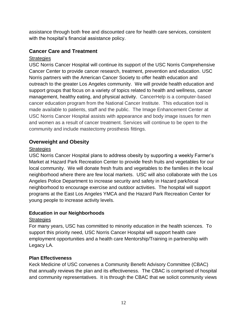assistance through both free and discounted care for health care services, consistent with the hospital's financial assistance policy.

#### <span id="page-12-0"></span>**Cancer Care and Treatment**

#### **Strategies**

USC Norris Cancer Hospital will continue its support of the USC Norris Comprehensive Cancer Center to provide cancer research, treatment, prevention and education. USC Norris partners with the American Cancer Society to offer health education and outreach to the greater Los Angeles community. We will provide health education and support groups that focus on a variety of topics related to health and wellness, cancer management, healthy eating, and physical activity. CancerHelp is a computer-based cancer education program from the National Cancer Institute. This education tool is made available to patients, staff and the public. The Image Enhancement Center at USC Norris Cancer Hospital assists with appearance and body image issues for men and women as a result of cancer treatment. Services will continue to be open to the community and include mastectomy prosthesis fittings.

#### <span id="page-12-1"></span>**Overweight and Obesity**

#### **Strategies**

USC Norris Cancer Hospital plans to address obesity by supporting a weekly Farmer's Market at Hazard Park Recreation Center to provide fresh fruits and vegetables for our local community. We will donate fresh fruits and vegetables to the families in the local neighborhood where there are few local markets. USC will also collaborate with the Los Angeles Police Department to increase security and safety in Hazard park/local neighborhood to encourage exercise and outdoor activities. The hospital will support programs at the East Los Angeles YMCA and the Hazard Park Recreation Center for young people to increase activity levels.

#### **Education in our Neighborhoods**

#### **Strategies**

For many years, USC has committed to minority education in the health sciences. To support this priority need, USC Norris Cancer Hospital will support health care employment opportunities and a health care Mentorship/Training in partnership with Legacy LA.

#### **Plan Effectiveness**

Keck Medicine of USC convenes a Community Benefit Advisory Committee (CBAC) that annually reviews the plan and its effectiveness. The CBAC is comprised of hospital and community representatives. It is through the CBAC that we solicit community views